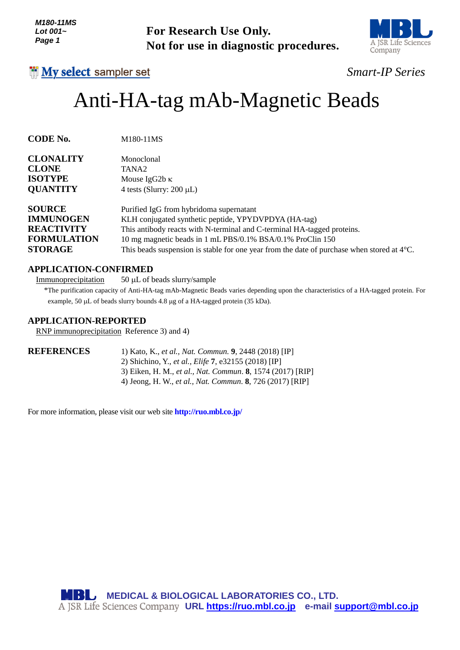

## *Smart-IP Series*

# Anti-HA-tag mAb-Magnetic Beads

| Lot 001~<br>Page 1                                                                             | <b>For Research Use Only.</b><br>Not for use in diagnostic procedures.                                                                                                                                                                                                                                                                           | A JSR Life Scie<br>Company |
|------------------------------------------------------------------------------------------------|--------------------------------------------------------------------------------------------------------------------------------------------------------------------------------------------------------------------------------------------------------------------------------------------------------------------------------------------------|----------------------------|
| <b>I'll My select sampler set</b>                                                              |                                                                                                                                                                                                                                                                                                                                                  | <b>Smart-IP Serie</b>      |
|                                                                                                | Anti-HA-tag mAb-Magnetic Beads                                                                                                                                                                                                                                                                                                                   |                            |
| <b>CODE No.</b>                                                                                | M180-11MS                                                                                                                                                                                                                                                                                                                                        |                            |
| <b>CLONALITY</b>                                                                               | Monoclonal                                                                                                                                                                                                                                                                                                                                       |                            |
| <b>CLONE</b><br><b>ISOTYPE</b>                                                                 | TANA <sub>2</sub>                                                                                                                                                                                                                                                                                                                                |                            |
| <b>QUANTITY</b>                                                                                | Mouse IgG2b $\kappa$<br>4 tests (Slurry: $200 \mu L$ )                                                                                                                                                                                                                                                                                           |                            |
| <b>SOURCE</b><br><b>IMMUNOGEN</b><br><b>REACTIVITY</b><br><b>FORMULATION</b><br><b>STORAGE</b> | Purified IgG from hybridoma supernatant<br>KLH conjugated synthetic peptide, YPYDVPDYA (HA-tag)<br>This antibody reacts with N-terminal and C-terminal HA-tagged proteins.<br>10 mg magnetic beads in 1 mL PBS/0.1% BSA/0.1% ProClin 150<br>This beads suspension is stable for one year from the date of purchase when stored at $4^{\circ}$ C. |                            |
| <b>APPLICATION-CONFIRMED</b><br>Immunoprecipitation                                            | 50 μL of beads slurry/sample<br>*The purification capacity of Anti-HA-tag mAb-Magnetic Beads varies depending upon the characteristics of a HA-tagged protein. I<br>example, 50 µL of beads slurry bounds 4.8 µg of a HA-tagged protein (35 kDa).                                                                                                |                            |
| <b>APPLICATION-REPORTED</b>                                                                    | RNP immunoprecipitation Reference 3) and 4)                                                                                                                                                                                                                                                                                                      |                            |
| <b>REFERENCES</b>                                                                              | 1) Kato, K., et al., Nat. Commun. 9, 2448 (2018) [IP]<br>2) Shichino, Y., et al., Elife 7, e32155 (2018) [IP]<br>3) Eiken, H. M., et al., Nat. Commun. 8, 1574 (2017) [RIP]<br>4) Jeong, H. W., et al., Nat. Commun. 8, 726 (2017) [RIP]                                                                                                         |                            |
|                                                                                                | For more information, please visit our web site <b>http://ruo.mbl.co.jp/</b>                                                                                                                                                                                                                                                                     |                            |
|                                                                                                |                                                                                                                                                                                                                                                                                                                                                  |                            |
|                                                                                                |                                                                                                                                                                                                                                                                                                                                                  |                            |
| MBIG.                                                                                          | <b>MEDICAL &amp; BIOLOGICAL LABORATORIES CO., LTD.</b><br>A JSR Life Sciences Company URL https://ruo.mbl.co.jp e-mail support@mbl.co.jp                                                                                                                                                                                                         |                            |

### **APPLICATION-CONFIRMED**

#### **APPLICATION-REPORTED**

| <b>REFERENCES</b> | 1) Kato, K., et al., Nat. Commun. 9, 2448 (2018) [IP]       |
|-------------------|-------------------------------------------------------------|
|                   | 2) Shichino, Y., <i>et al., Elife</i> 7, e32155 (2018) [IP] |
|                   | 3) Eiken, H. M., et al., Nat. Commun. 8, 1574 (2017) [RIP]  |
|                   | 4) Jeong, H. W., et al., Nat. Commun. 8, 726 (2017) [RIP]   |